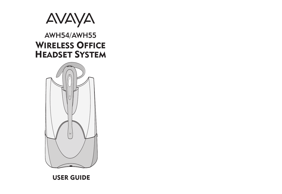

# AWH54/AWH55 **WIRELESS OFFICE HEADSET SYSTEM**



# **USER GUIDE**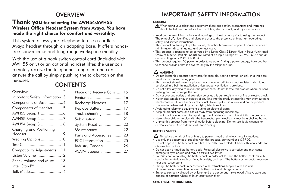#### **OVERVIEW**

#### **Thank you for selecting the AWH54/AWH55 Wireless Office Headset System from Avaya. You have made the right choice for comfort and versatility.**

This system allows your telephone to use a cordless Avaya headset through an adapting base. It offers handsfree convenience and long-range workspace mobility.

With the use of a hook switch control cord (included with AWH55 only) or an optional handset lifter, the user can remotely receive the telephone's ring alert and can answer the call by simply pushing the talk button on the headset.

### **CONTENTS**

| Overview 2                     | Place and F               |
|--------------------------------|---------------------------|
| Important Safety Information 3 | Features                  |
| Components of Base 4           | Recharge H                |
| Components of Headset 5        | Replace Ba                |
|                                | Troubleshoo               |
| AWH55 Setup 2 7                | Subscriptior              |
| AWH54 Setup 3 8                | System Res                |
| Charging and Positioning       | Maintenano<br>Parts and A |
|                                | FCC Inform                |
|                                | <b>Industry Ca</b>        |
| Compatibility Adjustments11    | <b>AVAYA Sup</b>          |
| Listen Volume 12               |                           |
| Speak Volume and Mute13        |                           |
| IntelliStand™ 14               |                           |
| Talk Mode14                    |                           |

| Place and Recieve Calls 15 |  |
|----------------------------|--|
|                            |  |
| Features 16                |  |
| Recharge Headset 17        |  |
| Replace Battery 17         |  |
| Troubleshooting 18         |  |
| Subscription 21            |  |
| System Reset 22            |  |
| Maintenance 22             |  |
| Parts and Accessories 23   |  |
| FCC Information 25         |  |
| Industry Canada 26         |  |
| AVAYA Support 27           |  |
|                            |  |

### IMPORTANT SAFETY INFORMATION

#### **GENERAL**

- When using your telephone equipment these basic safety precautions and warnings should be followed to reduce the risk of fire, electric shock, and injury to persons.
- Read and follow all instructions and warnings and instructions prior to using the product. The symbol  $\Lambda$  identifies and alerts the user to the presence of important operating, safety, and service instructions.
- This product contains gold-plated nickel, phosphor bronze and copper. If you experience a skin irritation, discontinue use and contact Avaya.
- This product is intended to be powered by a Listed Class 2 Direct Plug-In Power Unit rated 9VDC at 800mA, Part No. 64401-02, rated at an input voltage of 120 VAC, 60Hz and an output voltage of 9 VDC at 800mA.
- This product requires AC power in order to operate. During a power outage, have another telephone available that is powered only by the telephone line.

#### **WARNING**

- Do not locate this product near water, for example, near a bathtub, or sink, in a wet basement, or near a swimming pool.
- This product should never be placed near or over a radiator or heat register. It should not be placed in a built-in installation unless proper ventilation is provided.
- Do not allow anything to rest on the power cord. Do not locate this product where persons walking on it will damage the cord.
- Do not overload outlets and extension cords as this can result in risk of fire or electric shock.
- Never disassemble or push objects of any kind into the product since this may short out parts which could result in a fire or electric shock. Never spill liquid of any kind on the product.
- Use caution when installing or modifying telephone lines.
- Avoid using telephone equipment during an electrical storm.
- Keep all product cords and cables away from operating machinery.
- Do not use this equipment to report a gas leak while you are in the vicinity of a gas leak.
- Never allow children to play with the headset/adapter–small parts may be a choking hazard.
- Unplug this product from the wall outlet before cleaning. Do not use liquid cleaners or aerosol cleaners. Use a damp cloth for cleaning.

#### **BATTERY SAFETY**

 $\Delta$  To reduce the risk of fire or injury to persons, read and follow these instructions.

- Use only the battery pack supplied with this product, part number 64399-02.
- Do not dispose of battery pack in a fire. The cells may explode. Check with local codes for disposal instructions.
- Do not open or mutilate battery pack. Released electrolyte is corrosive and may cause damage to eyes or skin and may be toxic if swallowed.
- Exercise care in handling the battery pack in order not to short the battery contacts with conducting materials such as rings, bracelets, and keys. The battery or conductor may overheat and cause burns.
- Charge the battery pack in accordance with instructions supplied with this unit.
- Observe proper orientation between battery pack and charger contacts.
- Batteries can be swallowed by children and are dangerous if swallowed. Always store and dispose of batteries where children can't reach them.

#### **SAVE THESE INSTRUCTIONS**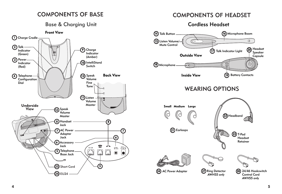# COMPONENTS OF BASE

### Base & Charging Unit



# COMPONENTS OF HEADSET

#### Cordless Headset

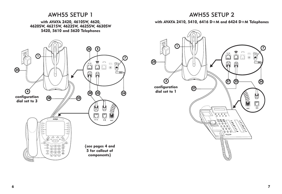#### AWH55 SETUP 2

#### **with AVAYA 2410, 5410, 6416 D+M and 6424 D+M Telephones**



#### AWH55 SETUP 1

**with AVAYA 2420, 4610SW, 4620, 4620SW, 4621SW, 4622SW, 4625SW, 4630SW 5420, 5610 and 5620 Telephones**

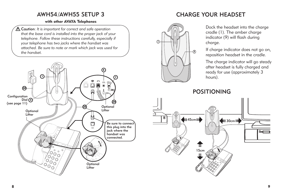### AWH54/AWH55 SETUP 3

#### **with other AVAYA Telephones**

Caution: *It is important for correct and safe operation that the base cord is installed into the proper jack of your telephone. Follow these instructions carefully, especially if your telephone has two jacks where the handset was attached. Be sure to note or mark which jack was used for the handset.*



# CHARGE YOUR HEADSET

**1 9**  $\left| \mu \right\rangle$ 

Dock the headset into the charge cradle (1). The amber charge indicator (9) will flash during charge.

If charge indicator does not go on, reposition headset in the cradle.

The charge indicator will go steady after headset is fully charged and ready for use (approximately 3 hours).

POSITIONING

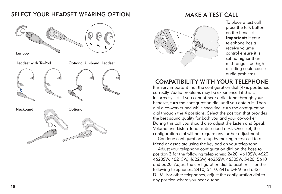#### SELECT YOUR HEADSET WEARING OPTION



### MAKE A TEST CALL



To place a test call press the talk button on the headset. **Important:** If your telephone has a receive volume control ensure it is set no higher than mid-range–too high a setting could cause audio problems.

### COMPATIBILITY WITH YOUR TELEPHONE

It is very important that the configuration dial (4) is positioned correctly. Audio problems may be experienced if this is incorrectly set. If you cannot hear a dial tone through your headset, turn the configuration dial until you obtain it. Then dial a co-worker and while speaking, turn the configuration dial through the 4 positions. Select the position that provides the best sound quality for both you and your co-worker. During this call you should also adjust the Listen and Speak Volume and Listen Tone as described next. Once set, the configuration dial will not require any further adjustment.

Continue configuration setup by making a test call to a friend or associate using the key pad on your telephone.

Adjust your telephone configuration dial on the base to position 3 for the following telephones: 2420, 4610SW, 4620, 4620SW, 4621SW, 4622SW, 4625SW, 4630SW, 5420, 5610 and 5620. Adjust the configuration dial to position 1 for the following telephones: 2410, 5410, 6416 D+M and 6424 D+M. For other telephones, adjust the configuration dial to any position where you hear a tone.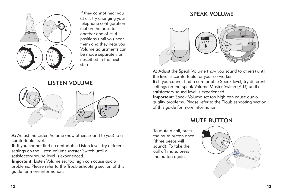

If they cannot hear you at all, try changing your telephone configuration dial on the base to another one of its 4 positions until you hear them and they hear you. Volume adjustments can be made separately as described in the next step.

# LISTEN VOLUME



**A:** Adjust the Listen Volume (how others sound to you) to a comfortable level.

**B:** If you cannot find a comfortable Listen level, try different settings on the Listen Volume Master Switch until a satisfactory sound level is experienced.

**Important:** Listen Volume set too high can cause audio problems. Please refer to the Troubleshooting section of this guide for more information.

### SPEAK VOLUME



**A:** Adjust the Speak Volume (how you sound to others) until the level is comfortable for your co-worker.

**B:** If you cannot find a comfortable Speak level, try different settings on the Speak Volume Master Switch (A-D) until a satisfactory sound level is experienced.

**Important:** Speak Volume set too high can cause audio quality problems. Please refer to the Troubleshooting section of this guide for more information.

#### MUTE BUTTON

To mute a call, press the mute button once (three beeps will sound). To take the call off mute, press the button again.

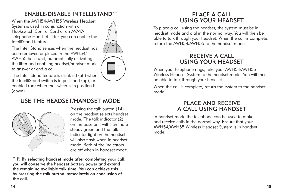### ENABLE/DISABLE INTELLISTAND™

When the AWH54/AWH55 Wireless Headset System is used in conjunction with a Hookswitch Control Cord or an AVAYA Telephone Handset Lifter, you can enable the IntelliStand feature.

The IntelliStand senses when the headset has been removed or placed in the AWH54/ AWH55 base unit, automatically activating the lifter and enabling headset/handset mode to answer or end a call.

The IntelliStand feature is disabled (off) when the IntelliStand switch is in position I (up), or enabled (on) when the switch is in position II (down).

### USE THE HEADSET/HANDSET MODE



Pressing the talk button (14) on the headset selects headset mode. The talk indicator (2) on the base unit will illuminate steady green and the talk indicator light on the headset will also flash when in headset mode. Both of the indicators are off when in handset mode.

TIP: By selecting handset mode after completing your call, you will conserve the headset battery power and extend the remaining available talk time. You can achieve this by pressing the talk button immediately on conclusion of the call.



To place a call using the headset, the system must be in headset mode and dial in the normal way. You will then be able to talk through your headset. When the call is complete, return the AWH54/AWH55 to the handset mode.

#### RECEIVE A CALL USING YOUR HEADSET

When your telephone rings, take your AWH54/AWH55 Wireless Headset System to the headset mode. You will then be able to talk through your headset.

When the call is complete, return the system to the handset mode.

#### PLACE AND RECEIVE A CALL USING HANDSET

In handset mode the telephone can be used to make and receive calls in the normal way. Ensure that your AWH54/AWH55 Wireless Headset System is in handset mode.



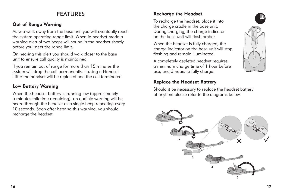# FEATURES

#### **Out of Range Warning**

As you walk away from the base unit you will eventually reach the system operating range limit. When in headset mode a warning alert of two beeps will sound in the headset shortly before you meet the range limit.

On hearing this alert you should walk closer to the base unit to ensure call quality is maintained.

If you remain out of range for more than 15 minutes the system will drop the call permanently. If using a Handset Lifter the handset will be replaced and the call terminated.

#### **Low Battery Warning**

When the headset battery is running low (approximately 5 minutes talk time remaining), an audible warning will be heard through the headset as a single beep repeating every 10 seconds. Soon after hearing this warning, you should recharge the headset.

#### **Recharge the Headset**

To recharge the headset, place it into the charge cradle in the base unit. During charging, the charge indicator on the base unit will flash amber.

When the headset is fully charged, the charge indicator on the base unit will stop flashing and remain illuminated.

A completely depleted headset requires a minimum charge time of 1 hour before use, and 3 hours to fully charge.

#### **Replace the Headset Battery**

Should it be necessary to replace the headset battery at anytime please refer to the diagrams below.



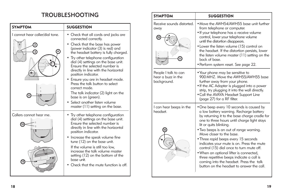# TROUBLESHOOTING

| <b>SYMPTOM</b>                                             | <b>SUGGESTION</b>                                                                                                                                                                                                                                                                                                                                                                                                                                                                                                                                                                       |
|------------------------------------------------------------|-----------------------------------------------------------------------------------------------------------------------------------------------------------------------------------------------------------------------------------------------------------------------------------------------------------------------------------------------------------------------------------------------------------------------------------------------------------------------------------------------------------------------------------------------------------------------------------------|
| I cannot hear caller/dial tone.<br>2<br>3<br>Λ<br>n<br>(11 | • Check that all cords and jacks are<br>connected correctly.<br>• Check that the base has power<br>(power indicator (3) is red) and<br>the headset battery is fully charged.<br>• Try other telephone configuration<br>dial (4) settings on the base unit.<br>Ensure the selected number is<br>directly in line with the horizontal<br>position indicator.<br>• Ensure you are in headset mode.<br>Press the talk button to select<br>correct mode.<br>The talk indicator (2) light on the<br>base is on (green).<br>• Select another listen volume<br>master (11) setting on the base. |
| Callers cannot hear me.<br>n<br>(12                        | • Try other telephone configuration<br>dial (4) settings on the base unit.<br>Ensure the selected number is<br>directly in line with the horizontal<br>position indicator.<br>• Increase the speak volume fine<br>tune (12) on the base unit.<br>If the volume is still too low,<br>increase the talk volume master<br>setting (12) on the bottom of the<br>base unit.<br>Check that the mute function is off.                                                                                                                                                                          |

| <b>SYMPTOM</b>                                            | <b>SUGGESTION</b>                                                                                                                                                                                                                                                                                                                                                                                                                                                                                                                                                                                     |
|-----------------------------------------------------------|-------------------------------------------------------------------------------------------------------------------------------------------------------------------------------------------------------------------------------------------------------------------------------------------------------------------------------------------------------------------------------------------------------------------------------------------------------------------------------------------------------------------------------------------------------------------------------------------------------|
| Receive sounds distorted.<br>away<br>15                   | • Move the AWH54/AWH55 base unit further<br>from telephone or computer.<br>• If your telephone has a receive volume<br>control, lower your telephone volume<br>until the distortion disappears.<br>• Lower the listen volume (15) control on<br>the headset. If the distortion persists, lower<br>the listen volume master (11) setting on the<br>back of base.<br>• Perform system reset. See page 22.                                                                                                                                                                                               |
| People I talk to can<br>hear a buzz in the<br>background. | • Your phone may be sensitive to<br>900 MHZ. Move the AWH55/AWH55 base<br>further away from your phone.<br>. If the AC Adapter is plugged into a power<br>strip, try plugging it into the wall directly.<br>• Call the AVAYA Headset Support Line<br>(page 27) for a RF filter.                                                                                                                                                                                                                                                                                                                       |
| I can hear beeps in the<br>headset.<br>15                 | • One beep every 10 seconds is caused by<br>a low battery warning. Recharge battery<br>by returning it to the base charge cradle for<br>one to three hours until charge light stays<br>lit or quits blinking.<br>. Two beeps is an out of range warning.<br>Move closer to the base.<br>• Three rapid beeps every 15 seconds<br>indicates your mute is on. Press the mute<br>control (15) dial once to turn mute off.<br>. When an optional lifter is connected,<br>three repetitive beeps indicate a call is<br>coming into the headset. Press the talk<br>button on the headset to answer the call. |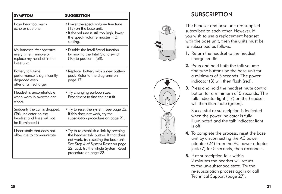| <b>SYMPTOM</b>                                                                                           | <b>SUGGESTION</b>                                                                                                                                                                                                                  |
|----------------------------------------------------------------------------------------------------------|------------------------------------------------------------------------------------------------------------------------------------------------------------------------------------------------------------------------------------|
| Lcan hear too much<br>echo or sidetone.                                                                  | • Lower the speak volume fine tune<br>(13) on the base unit.<br>• If the volume is still too high, lower<br>the speak volume master (12)<br>setting.                                                                               |
| My handset lifter operates<br>every time I remove or<br>replace my headset in the<br>base unit.          | • Disable the IntelliStand function<br>by moving the IntelliStand switch<br>$(10)$ to position I (off).                                                                                                                            |
| Battery talk time<br>performance is significantly<br>degraded even<br>after a full recharge.             | • Replace battery with a new battery<br>pack. Refer to the diagrams on<br>page 17.                                                                                                                                                 |
| Headset is uncomfortable<br>when worn in over-the-ear<br>mode.                                           | • Try changing earloop sizes.<br>Experiment to find the best fit.                                                                                                                                                                  |
| Suddenly the call is dropped.<br>(Talk indicator on the<br>headset and base will not<br>be illuminated.) | • Try to reset the system. See page 22.<br>If this does not work, try the<br>subscription procedure on page 21.                                                                                                                    |
| I hear static that does not<br>allow me to communicate.                                                  | • Try to re-establish a link by pressing<br>the headset talk button. If that does<br>not work, try resetting the base unit.<br>See Step 4 of System Reset on page<br>22. Last, try the whole System Reset<br>procedure on page 22. |

# **SUBSCRIPTION**





The headset and base unit are supplied subscribed to each other. However, if you wish to use a replacement headset with the base unit, then the units must be re-subscribed as follows:

- **1.** Return the headset to the headset charge cradle.
- **2.** Press and hold both the talk volume fine tune buttons on the base unit for a minimum of 5 seconds. The power indicator (3) will then flash (red).
- **3.** Press and hold the headset mute control button for a minimum of 5 seconds. The talk indicator light (17) on the headset will then illuminate (green).

Successful re-subscription is indicated when the power indicator is fully illuminated and the talk indicator light is off.

- **4.** To complete the process, reset the base unit by disconnecting the AC power adapter (24) from the A C power adapter jack (7) for 5 seconds, then reconnect.
- **5.** If re-subscription fails within<br>2 minutes the headset will return to the un-subscribed state. Tr y the re-subscription process again or call Technical Support (page 27).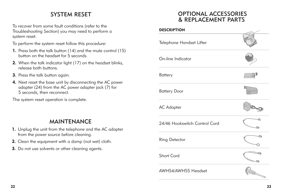# SYSTEM RESET

To recover from some fault conditions (refer to the Troubleshooting Section) you may need to perform a system reset.

To perform the system reset follow this procedure:

- **1.** Press both the talk button (14) and the mute control (15) button on the headset for 5 seconds.
- **2.** When the talk indicator light (17) on the headset blinks, release both buttons.
- **3.** Press the talk button again.
- **4.** Next reset the base unit by disconnecting the AC power adapter (24) from the AC power adapter jack (7) for 5 seconds, then reconnect.

The system reset operation is complete.

### **MAINTENANCE**

- **1.** Unplug the unit from the telephone and the AC adapter from the power source before cleaning.
- **2.** Clean the equipment with a damp (not wet) cloth.
- **3.** Do not use solvents or other cleaning agents.

### OPTIONAL ACCESSORIES & REPLACEMENT PARTS

| <b>DESCRIPTION</b>            |   |
|-------------------------------|---|
| Telephone Handset Lifter      |   |
| On-line Indicator             |   |
| <b>Battery</b>                |   |
| <b>Battery Door</b>           |   |
| <b>AC Adapter</b>             |   |
| 24/46 Hookswitch Control Cord | শ |
| Ring Detector                 |   |
| Short Cord                    |   |
| AWH54/AWH55 Headset           |   |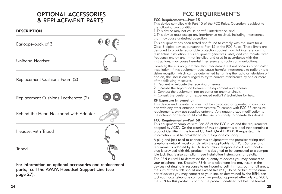### OPTIONAL ACCESSORIES & REPLACEMENT PARTS

#### **DESCRIPTION**



For information on optional accessories and replacement parts, call the AVAYA Heeadset Support Line (see page 27).

# FCC REQUIREMENTS

#### **FCC Requirements—Part 15**

This device complies with Part 15 of the FCC Rules. Operation is subject to the following two conditions:

1.This device may not cause harmful interference, and

2.This device must accept any interference received, including interference that may cause undesired operation.

This equipment has been tested and found to comply with the limits for a Class B digital device, pursuant to Part 15 of the FCC Rules. These limits are designed to provide reasonable protection against harmful interference in a residential installation. This equipment generates, uses, and can radiate radio frequency energy and, if not installed and used in accordance with the instructions, may cause harmful interference to radio communications.

However, there is no guarantee that interference will not occur in a particular installation. If this equipment does cause harmful interference to radio or television reception which can be determined by turning the radio or television off and on, the user is encouraged to try to correct interference by one or more of the following measures:

- 1. Reorient or relocate the receiving antenna.
- 2. Increase the separation between the equipment and receiver.
- 3. Connect the equipment into an outlet on another circuit.
- 4. Consult the dealer or an experienced radio/TV technician for help.

#### **RF Exposure Information**

This device and its antenna must not be co-located or operated in conjunction with any other antenna or transmitter. To comply with FCC RF exposure requirements, only use supplied antenna. Any unauthorized modification to the antenna or device could void the user's authority to operate this device.

#### **FCC Requirements—Part 68**

This equipment complies with Part 68 of the FCC rules and the requirements adopted by ACTA. On the exterior of this equipment is a label that contains a product identifier in the format US:AAAEQ##TXXXX. If requested, this information must be provided to your telephone company.

A plug and jack used to connect this equipment to the premises wiring and telephone network must comply with the applicable FCC Part 68 rules and requirements adopted by ACTA. A compliant telephone cord and modular plug is provided with this product. It is designed to be connected to a compatible jack that is also compliant. See installation instructions for details.

The REN is useful to determine the quantity of devices you may connect to your telephone line. Excessive RENs on a telephone line may result in the devices not ringing in response to an incoming call. In most, but not all areas, the sum of the RENs should not exceed five (5.0). To be certain of the number of devices you may connect to your line, as determined by the REN, contact your local telephone company. For product approved after July 23, 2001, the REN for this product is part of the product identifier that has the format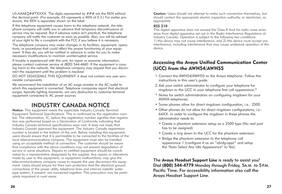US:AAAEO##TXXXX. The digits represented by  $###$  are the REN without the decimal point. (For example, 03 represents a REN of 0.3.) For earlier producers, the REN is separately shown on the label.

If this telephone equipment causes harm to the telephone network, the telephone company will notify you in advance that temporary discontinuance of service may be required. But if advance notice isn't practical, the telephone company will notify the customer as soon as possible. Also, you will be advised of your right to file a complaint with the FCC if you believe it is necessary.

The telephone company may make changes in its facilities, equipment, operations, or procedures that could affect the proper functioning of your equipment. If they do, you will be notified in advance in order for you to make necessary modifications to maintain uninterrupted service.

If trouble is experienced with this unit, for repair or warranty information, please contact customer service at (800) 544-4660. If the equipment is causing harm to the network, the telephone company may request that you disconnect the equipment until the problem is resolved.

DO NOT DISASSEMLE THIS EQUIPMENT: it does not contain any user serviceable components.

We recommend the installation of an AC surge arrester in the AC outlet to which this equipment is connected. Telephone companies report that electrical surges, typically lighting transients, are very destructive to customer terminal equipment connected to AC power sources.

### INDUSTRY CANADA NOTICE

**Notice:** This equipment meets the applicable Industry Canada Terminal Equipment Technical Specifications. This is confirmed by the registration number. The abbreviation, IC, before the registration number signifies that registration was performed based on a Declaration of Conformity indicating that Industry Canada technical specifications were met. It does not imply that Industry Canada approved the equipment. The Industry Canada registration number is located in the bottom of the unit. Before installing this equipment, users should ensure that it is permissible to be connected to the facilities of the local telecommunications company. The equipment must also be installed using an acceptable method of connection. The customer should be aware that compliance with the above conditions may not prevent degradation of service in some situations. Repairs to certified equipment should be coordinated by a representative designated by the supplier. Any repairs or alterations made by user to this equipment, or equipment malfunctions, may give the telecommunications company cause to request the user disconnect the equipment. Users should ensure for their own protection that the electrical ground connections of the power utility, telephone lines and internal metallic water pipe system, if present, are connected together. This precaution may be particularly important in rural areas.

**Caution:** Users should not attempt to make such connection themselves, but should contact the appropriate electric inspection authority, or electrician, as appropriate.

#### **RSS 210**

This digital apparatus does not exceed the Class B limit for radio noise emissions from digital apparatus set out in the Radio Interference Regulations of Industry Canada. Operation is subject to the following two conditions: 1) this device may not cause interference, and 2) this device must accept any interference, including interference that may cause undesired operation of the device.

#### **Accessing the Avaya Unified Communication Center (UCC) from the AWH54/AWH55**

- 1.Connect the AWH54/AWH55 to the Avaya telephone. Follow the instructions in this user's guide.
- 2.Ask your switch administrator to configure your telephone for ringdown to the UCC in your telephone first call appearance.\*
- \* Notes for switch administrators on configuring ringdown for your AVAYA telephones:
- Some phones allow for direct ringdown configuration, i.e.: 2500
- Other phones do not allow for direct ringdown configurations, i.e.: 64XX. In order to configure the ringdown in these phones the administrator needs to:
	- Create a phantom extension setup as a 2500 type (No real port has to be assigned).
	- Create a ring down to the UCC for the phantom extension.
	- Bridge the phantom extension to the telephone call appearance 1 (configure it as an "abrdg-appr" and setup the "Auto Select Any Idle Appearance" to Yes).

The **Avaya Headset Support Line** is ready to assist you! Dial **(800) 544-4779** Monday through Friday, 5A.M. to 5P.M. Pacific Time**.** For accessibility information also call the Avaya Headset Support Line.